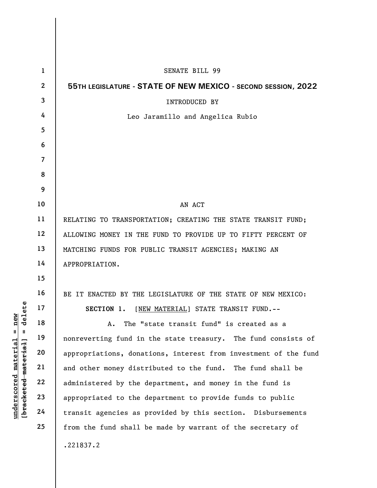|                                | $\mathbf{1}$   | <b>SENATE BILL 99</b>                                           |
|--------------------------------|----------------|-----------------------------------------------------------------|
|                                | $\overline{2}$ | 55TH LEGISLATURE - STATE OF NEW MEXICO - SECOND SESSION, 2022   |
|                                | 3              | <b>INTRODUCED BY</b>                                            |
|                                | 4              | Leo Jaramillo and Angelica Rubio                                |
|                                | 5              |                                                                 |
|                                | 6              |                                                                 |
|                                | $\overline{7}$ |                                                                 |
|                                | 8              |                                                                 |
|                                | 9              |                                                                 |
|                                | 10             | AN ACT                                                          |
|                                | 11             | RELATING TO TRANSPORTATION; CREATING THE STATE TRANSIT FUND;    |
|                                | 12             | ALLOWING MONEY IN THE FUND TO PROVIDE UP TO FIFTY PERCENT OF    |
|                                | 13             | MATCHING FUNDS FOR PUBLIC TRANSIT AGENCIES; MAKING AN           |
|                                | 14             | APPROPRIATION.                                                  |
|                                | 15             |                                                                 |
|                                | 16             | BE IT ENACTED BY THE LEGISLATURE OF THE STATE OF NEW MEXICO:    |
| delete                         | 17             | SECTION 1.<br>[NEW MATERIAL] STATE TRANSIT FUND.--              |
| new                            | 18             | The "state transit fund" is created as a<br>Α.                  |
| H<br>Ш                         | 19             | nonreverting fund in the state treasury. The fund consists of   |
| $\mathtt{materia}$<br>material | 20             | appropriations, donations, interest from investment of the fund |
|                                | 21             | and other money distributed to the fund. The fund shall be      |
| $\bm{{\rm underscore}}$        | 22             | administered by the department, and money in the fund is        |
| [bracketed                     | 23             | appropriated to the department to provide funds to public       |
|                                | 24             | transit agencies as provided by this section. Disbursements     |
|                                | 25             | from the fund shall be made by warrant of the secretary of      |
|                                |                | .221837.2                                                       |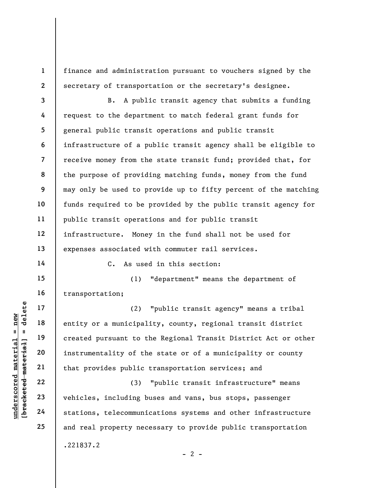finance and administration pursuant to vouchers signed by the secretary of transportation or the secretary's designee.

3 4 5 6 7 8 9 10 11 12 13 B. A public transit agency that submits a funding request to the department to match federal grant funds for general public transit operations and public transit infrastructure of a public transit agency shall be eligible to receive money from the state transit fund; provided that, for the purpose of providing matching funds, money from the fund may only be used to provide up to fifty percent of the matching funds required to be provided by the public transit agency for public transit operations and for public transit infrastructure. Money in the fund shall not be used for expenses associated with commuter rail services.

14

17

18

19

20

21

22

23

24

25

1

2

C. As used in this section:

15 16 (1) "department" means the department of transportation;

understand material and the set of the set of the set of the set of the set of the set of the set of the set of the set of the set of the set of the set of the set of the set of the set of the set of the set of the set of (2) "public transit agency" means a tribal entity or a municipality, county, regional transit district created pursuant to the Regional Transit District Act or other instrumentality of the state or of a municipality or county that provides public transportation services; and

(3) "public transit infrastructure" means vehicles, including buses and vans, bus stops, passenger stations, telecommunications systems and other infrastructure and real property necessary to provide public transportation .221837.2

 $- 2 -$